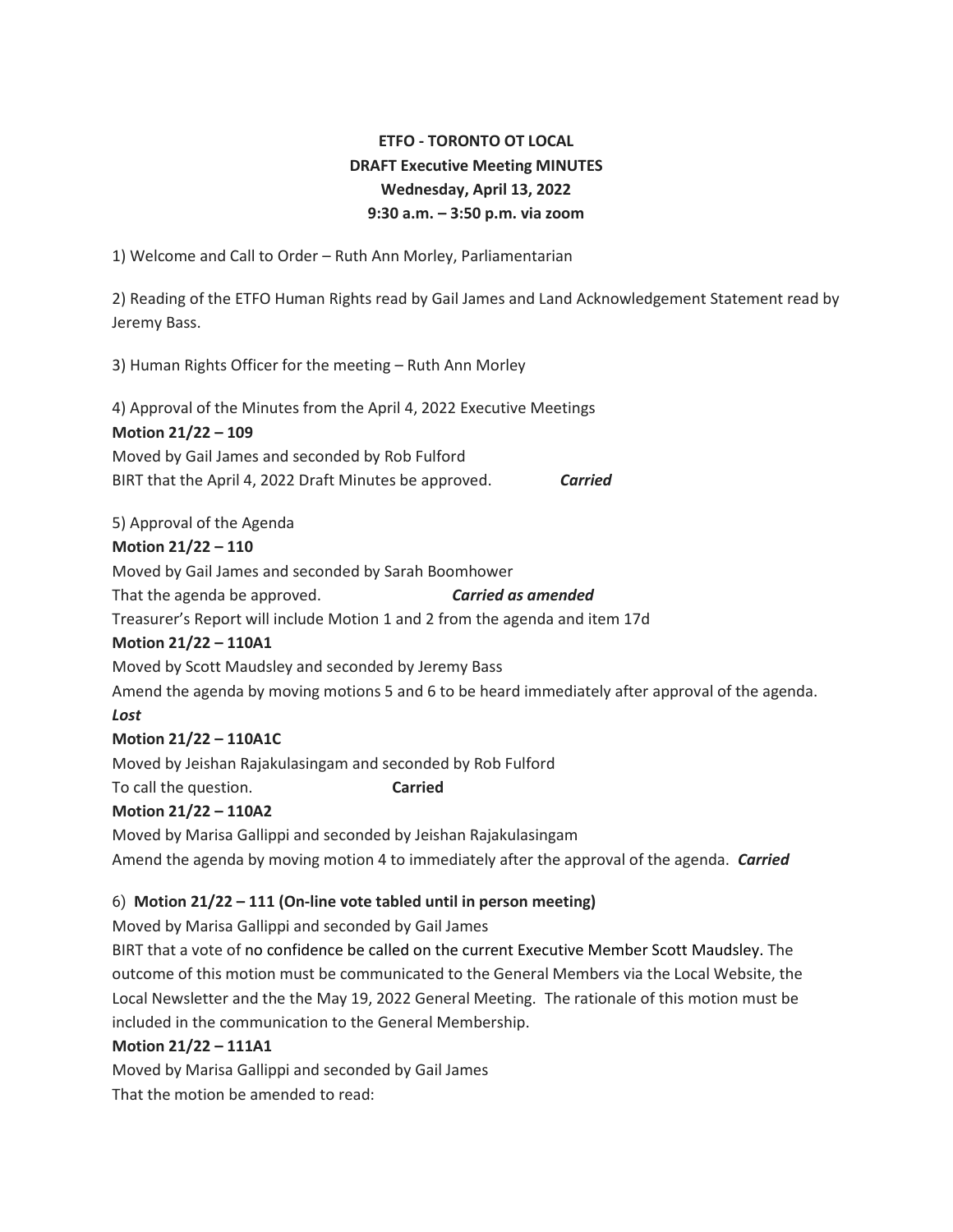# **ETFO - TORONTO OT LOCAL DRAFT Executive Meeting MINUTES Wednesday, April 13, 2022 9:30 a.m. – 3:50 p.m. via zoom**

1) Welcome and Call to Order – Ruth Ann Morley, Parliamentarian

2) Reading of the ETFO Human Rights read by Gail James and Land Acknowledgement Statement read by Jeremy Bass.

3) Human Rights Officer for the meeting – Ruth Ann Morley

4) Approval of the Minutes from the April 4, 2022 Executive Meetings **Motion 21/22 – 109** Moved by Gail James and seconded by Rob Fulford BIRT that the April 4, 2022 Draft Minutes be approved. *Carried*

5) Approval of the Agenda

#### **Motion 21/22 – 110**

Moved by Gail James and seconded by Sarah Boomhower That the agenda be approved. *Carried as amended*

Treasurer's Report will include Motion 1 and 2 from the agenda and item 17d

#### **Motion 21/22 – 110A1**

Moved by Scott Maudsley and seconded by Jeremy Bass

Amend the agenda by moving motions 5 and 6 to be heard immediately after approval of the agenda.

#### *Lost*

#### **Motion 21/22 – 110A1C**

Moved by Jeishan Rajakulasingam and seconded by Rob Fulford

To call the question. **Carried**

#### **Motion 21/22 – 110A2**

Moved by Marisa Gallippi and seconded by Jeishan Rajakulasingam Amend the agenda by moving motion 4 to immediately after the approval of the agenda. *Carried*

## 6) **Motion 21/22 – 111 (On-line vote tabled until in person meeting)**

Moved by Marisa Gallippi and seconded by Gail James

BIRT that a vote of no confidence be called on the current Executive Member Scott Maudsley. The outcome of this motion must be communicated to the General Members via the Local Website, the Local Newsletter and the the May 19, 2022 General Meeting. The rationale of this motion must be included in the communication to the General Membership.

#### **Motion 21/22 – 111A1**

Moved by Marisa Gallippi and seconded by Gail James

That the motion be amended to read: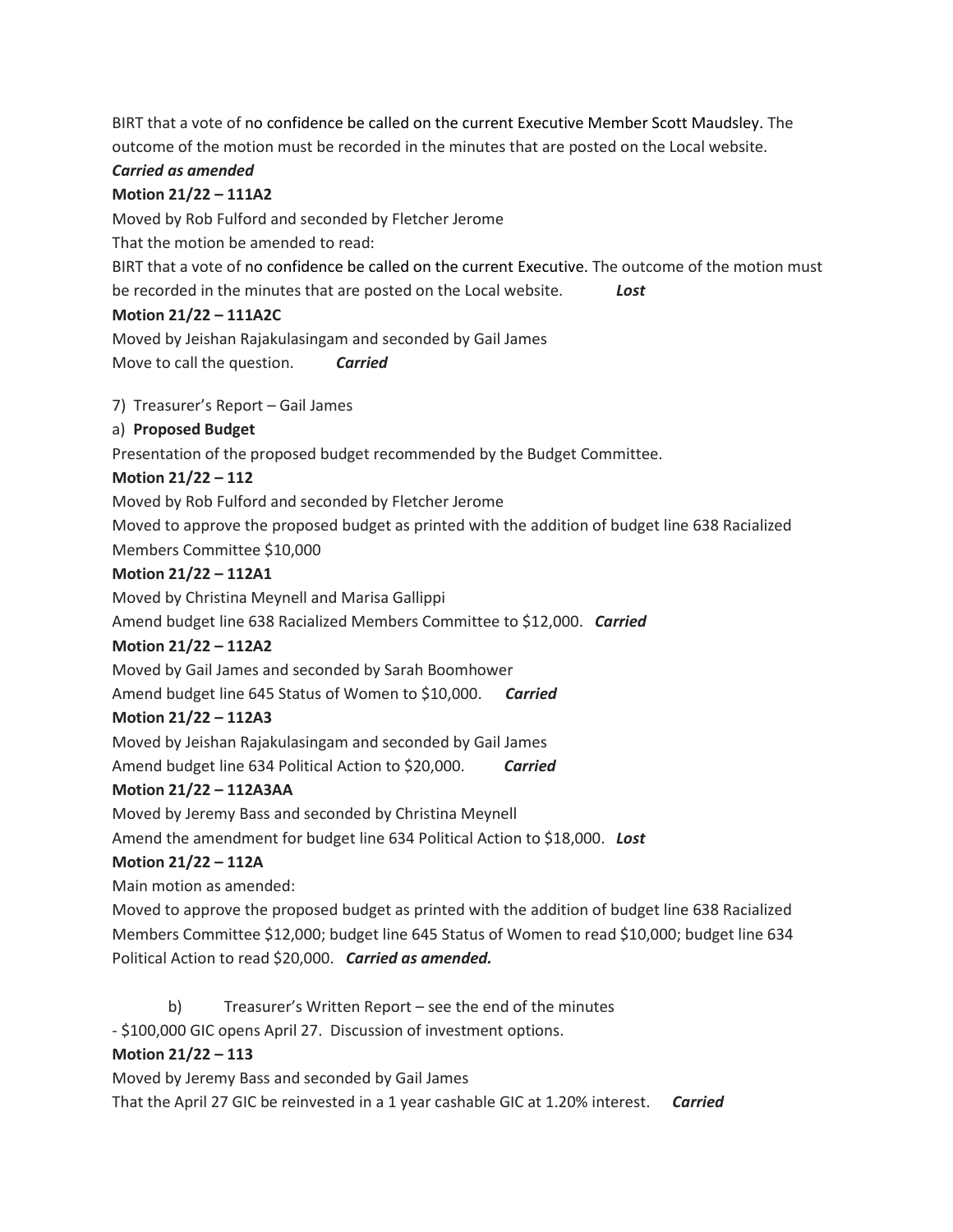BIRT that a vote of no confidence be called on the current Executive Member Scott Maudsley. The outcome of the motion must be recorded in the minutes that are posted on the Local website.

### *Carried as amended*

#### **Motion 21/22 – 111A2**

Moved by Rob Fulford and seconded by Fletcher Jerome

That the motion be amended to read:

BIRT that a vote of no confidence be called on the current Executive. The outcome of the motion must be recorded in the minutes that are posted on the Local website. *Lost*

#### **Motion 21/22 – 111A2C**

Moved by Jeishan Rajakulasingam and seconded by Gail James Move to call the question. *Carried*

7) Treasurer's Report – Gail James

#### a) **Proposed Budget**

Presentation of the proposed budget recommended by the Budget Committee.

#### **Motion 21/22 – 112**

Moved by Rob Fulford and seconded by Fletcher Jerome

Moved to approve the proposed budget as printed with the addition of budget line 638 Racialized Members Committee \$10,000

#### **Motion 21/22 – 112A1**

Moved by Christina Meynell and Marisa Gallippi

Amend budget line 638 Racialized Members Committee to \$12,000. *Carried*

#### **Motion 21/22 – 112A2**

Moved by Gail James and seconded by Sarah Boomhower

Amend budget line 645 Status of Women to \$10,000. *Carried*

#### **Motion 21/22 – 112A3**

Moved by Jeishan Rajakulasingam and seconded by Gail James Amend budget line 634 Political Action to \$20,000. *Carried*

#### **Motion 21/22 – 112A3AA**

Moved by Jeremy Bass and seconded by Christina Meynell

Amend the amendment for budget line 634 Political Action to \$18,000. *Lost*

#### **Motion 21/22 – 112A**

Main motion as amended:

Moved to approve the proposed budget as printed with the addition of budget line 638 Racialized Members Committee \$12,000; budget line 645 Status of Women to read \$10,000; budget line 634 Political Action to read \$20,000. *Carried as amended.*

b) Treasurer's Written Report – see the end of the minutes

- \$100,000 GIC opens April 27. Discussion of investment options.

## **Motion 21/22 – 113**

Moved by Jeremy Bass and seconded by Gail James

That the April 27 GIC be reinvested in a 1 year cashable GIC at 1.20% interest. *Carried*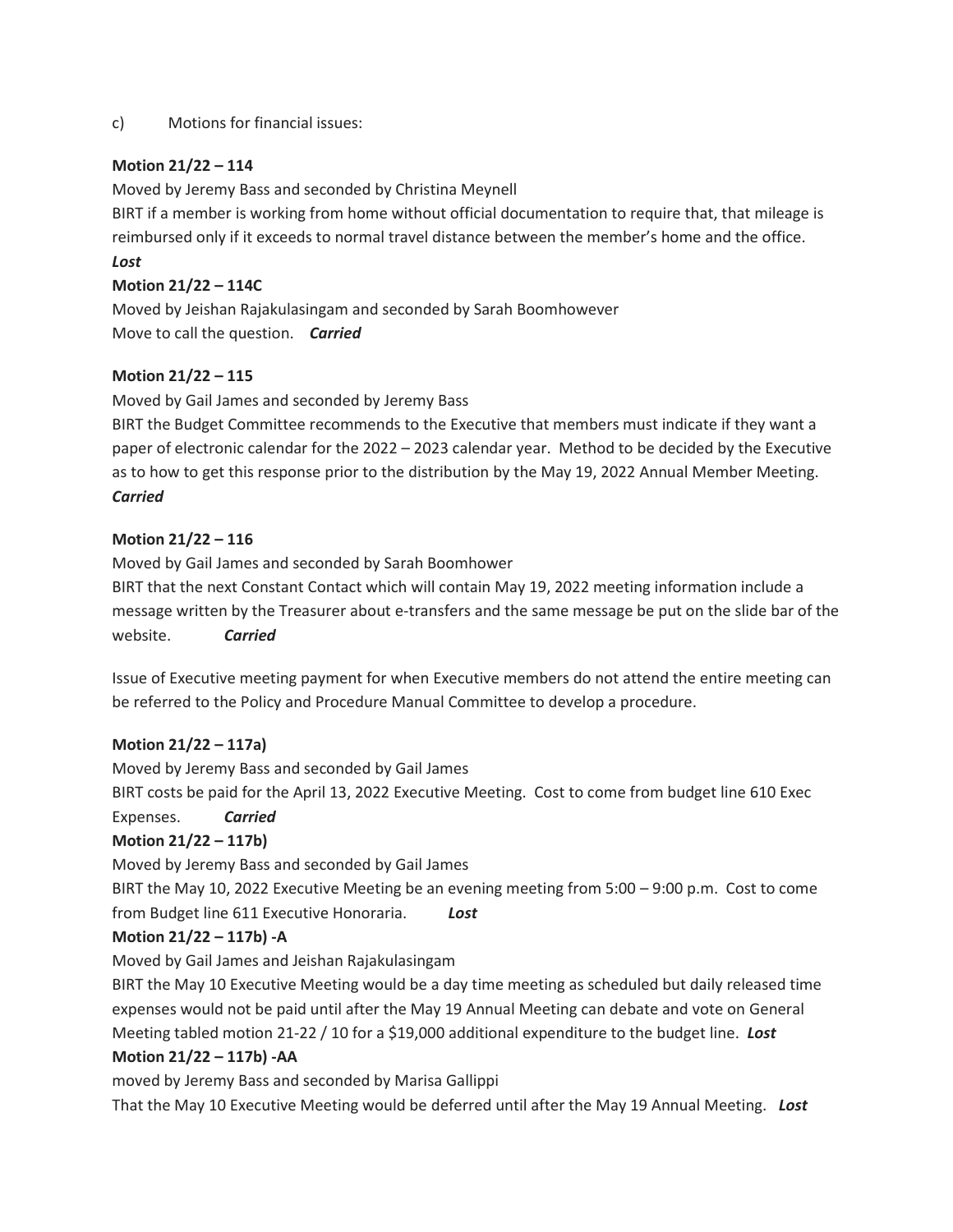c) Motions for financial issues:

#### **Motion 21/22 – 114**

Moved by Jeremy Bass and seconded by Christina Meynell

BIRT if a member is working from home without official documentation to require that, that mileage is reimbursed only if it exceeds to normal travel distance between the member's home and the office. *Lost*

#### **Motion 21/22 – 114C**

Moved by Jeishan Rajakulasingam and seconded by Sarah Boomhowever Move to call the question. *Carried*

#### **Motion 21/22 – 115**

Moved by Gail James and seconded by Jeremy Bass

BIRT the Budget Committee recommends to the Executive that members must indicate if they want a paper of electronic calendar for the 2022 – 2023 calendar year. Method to be decided by the Executive as to how to get this response prior to the distribution by the May 19, 2022 Annual Member Meeting. *Carried*

#### **Motion 21/22 – 116**

Moved by Gail James and seconded by Sarah Boomhower

BIRT that the next Constant Contact which will contain May 19, 2022 meeting information include a message written by the Treasurer about e-transfers and the same message be put on the slide bar of the website. *Carried*

Issue of Executive meeting payment for when Executive members do not attend the entire meeting can be referred to the Policy and Procedure Manual Committee to develop a procedure.

#### **Motion 21/22 – 117a)**

Moved by Jeremy Bass and seconded by Gail James

BIRT costs be paid for the April 13, 2022 Executive Meeting. Cost to come from budget line 610 Exec Expenses. *Carried*

## **Motion 21/22 – 117b)**

Moved by Jeremy Bass and seconded by Gail James

BIRT the May 10, 2022 Executive Meeting be an evening meeting from 5:00 – 9:00 p.m. Cost to come from Budget line 611 Executive Honoraria. *Lost*

#### **Motion 21/22 – 117b) -A**

Moved by Gail James and Jeishan Rajakulasingam

BIRT the May 10 Executive Meeting would be a day time meeting as scheduled but daily released time expenses would not be paid until after the May 19 Annual Meeting can debate and vote on General Meeting tabled motion 21-22 / 10 for a \$19,000 additional expenditure to the budget line. *Lost*

#### **Motion 21/22 – 117b) -AA**

moved by Jeremy Bass and seconded by Marisa Gallippi

That the May 10 Executive Meeting would be deferred until after the May 19 Annual Meeting. *Lost*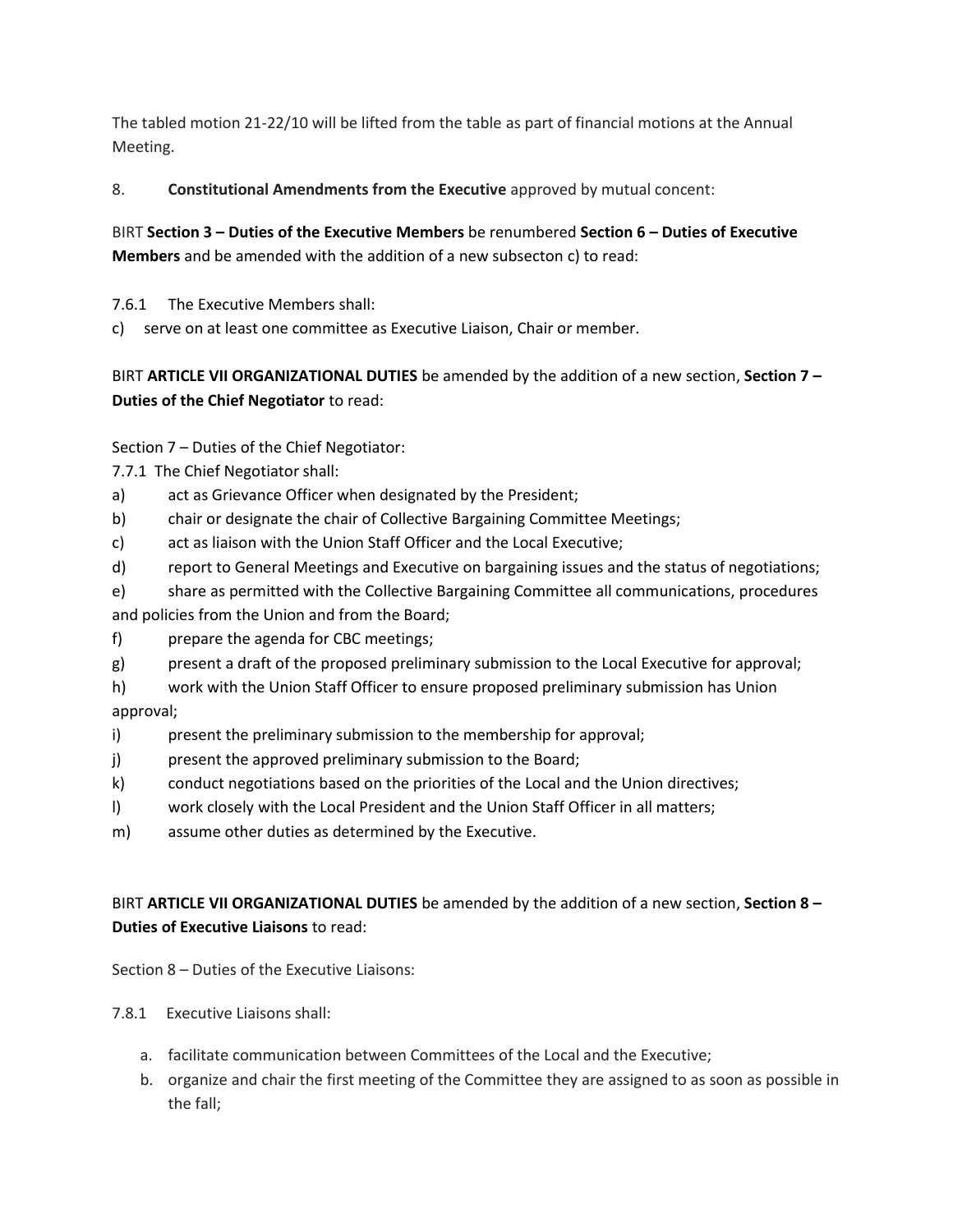The tabled motion 21-22/10 will be lifted from the table as part of financial motions at the Annual Meeting.

8. **Constitutional Amendments from the Executive** approved by mutual concent:

BIRT **Section 3 – Duties of the Executive Members** be renumbered **Section 6 – Duties of Executive Members** and be amended with the addition of a new subsecton c) to read:

7.6.1 The Executive Members shall:

c) serve on at least one committee as Executive Liaison, Chair or member.

BIRT **ARTICLE VII ORGANIZATIONAL DUTIES** be amended by the addition of a new section, **Section 7 – Duties of the Chief Negotiator** to read:

Section 7 – Duties of the Chief Negotiator:

7.7.1 The Chief Negotiator shall:

a) act as Grievance Officer when designated by the President;

b) chair or designate the chair of Collective Bargaining Committee Meetings;

c) act as liaison with the Union Staff Officer and the Local Executive;

d) report to General Meetings and Executive on bargaining issues and the status of negotiations;

e) share as permitted with the Collective Bargaining Committee all communications, procedures and policies from the Union and from the Board;

- f) prepare the agenda for CBC meetings;
- g) present a draft of the proposed preliminary submission to the Local Executive for approval;

h) work with the Union Staff Officer to ensure proposed preliminary submission has Union approval;

- i) present the preliminary submission to the membership for approval;
- j) present the approved preliminary submission to the Board;
- k) conduct negotiations based on the priorities of the Local and the Union directives;
- l) work closely with the Local President and the Union Staff Officer in all matters;
- m) assume other duties as determined by the Executive.

BIRT **ARTICLE VII ORGANIZATIONAL DUTIES** be amended by the addition of a new section, **Section 8 – Duties of Executive Liaisons** to read:

Section 8 – Duties of the Executive Liaisons:

7.8.1 Executive Liaisons shall:

- a. facilitate communication between Committees of the Local and the Executive;
- b. organize and chair the first meeting of the Committee they are assigned to as soon as possible in the fall;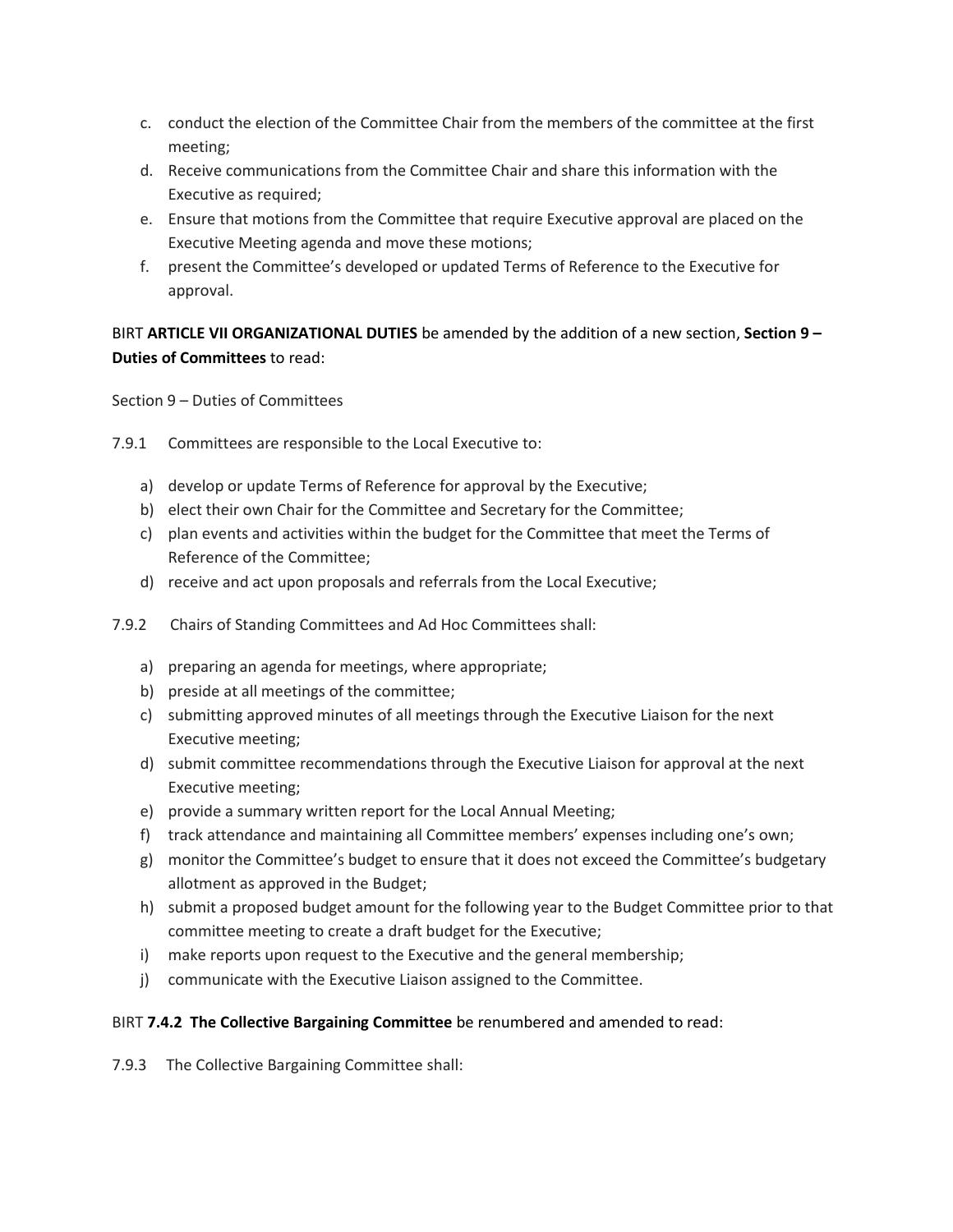- c. conduct the election of the Committee Chair from the members of the committee at the first meeting;
- d. Receive communications from the Committee Chair and share this information with the Executive as required;
- e. Ensure that motions from the Committee that require Executive approval are placed on the Executive Meeting agenda and move these motions;
- f. present the Committee's developed or updated Terms of Reference to the Executive for approval.

BIRT **ARTICLE VII ORGANIZATIONAL DUTIES** be amended by the addition of a new section, **Section 9 – Duties of Committees** to read:

Section 9 – Duties of Committees

- 7.9.1 Committees are responsible to the Local Executive to:
	- a) develop or update Terms of Reference for approval by the Executive;
	- b) elect their own Chair for the Committee and Secretary for the Committee;
	- c) plan events and activities within the budget for the Committee that meet the Terms of Reference of the Committee;
	- d) receive and act upon proposals and referrals from the Local Executive;
- 7.9.2 Chairs of Standing Committees and Ad Hoc Committees shall:
	- a) preparing an agenda for meetings, where appropriate;
	- b) preside at all meetings of the committee;
	- c) submitting approved minutes of all meetings through the Executive Liaison for the next Executive meeting;
	- d) submit committee recommendations through the Executive Liaison for approval at the next Executive meeting;
	- e) provide a summary written report for the Local Annual Meeting;
	- f) track attendance and maintaining all Committee members' expenses including one's own;
	- g) monitor the Committee's budget to ensure that it does not exceed the Committee's budgetary allotment as approved in the Budget;
	- h) submit a proposed budget amount for the following year to the Budget Committee prior to that committee meeting to create a draft budget for the Executive;
	- i) make reports upon request to the Executive and the general membership;
	- j) communicate with the Executive Liaison assigned to the Committee.

#### BIRT **7.4.2 The Collective Bargaining Committee** be renumbered and amended to read:

7.9.3 The Collective Bargaining Committee shall: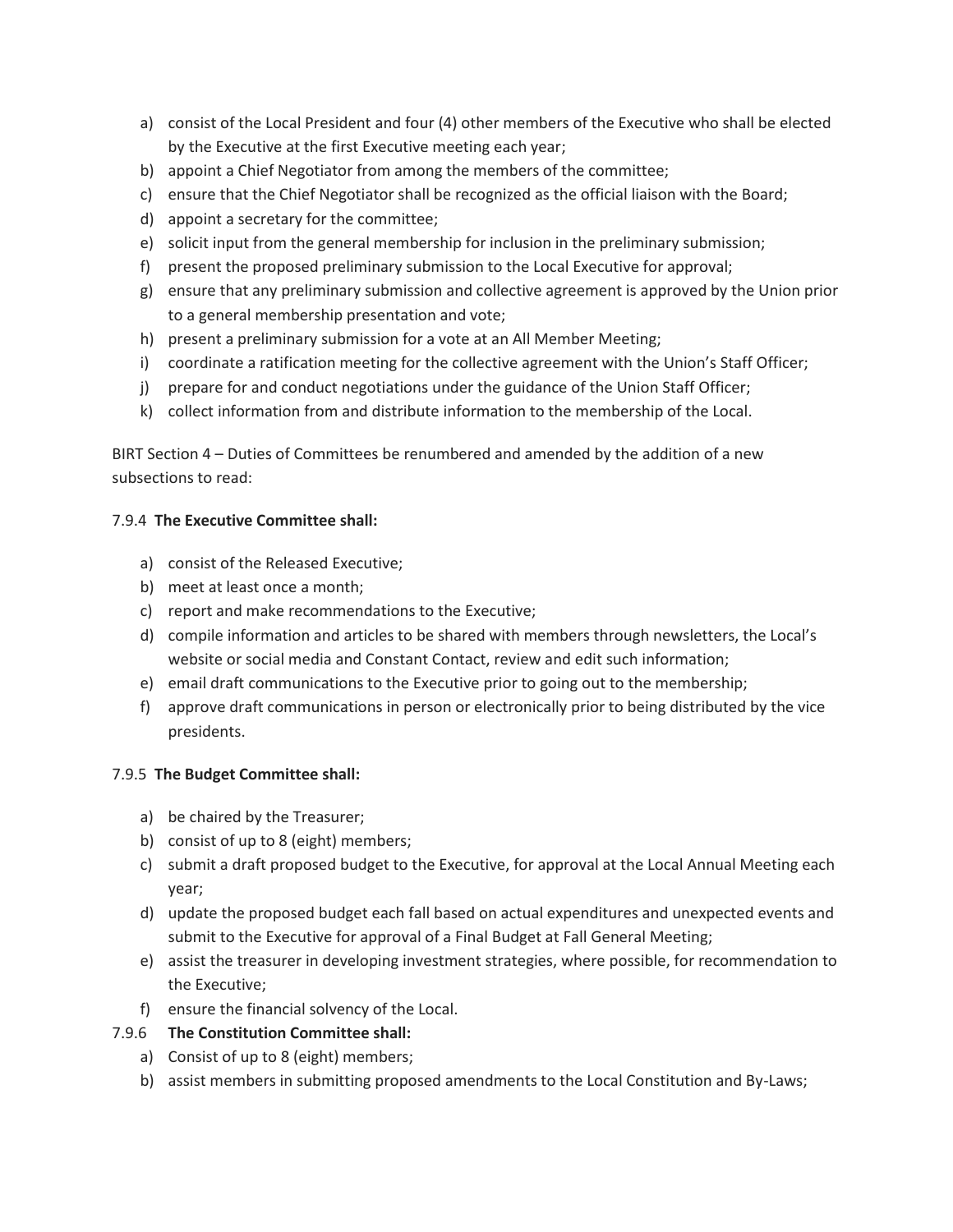- a) consist of the Local President and four (4) other members of the Executive who shall be elected by the Executive at the first Executive meeting each year;
- b) appoint a Chief Negotiator from among the members of the committee;
- c) ensure that the Chief Negotiator shall be recognized as the official liaison with the Board;
- d) appoint a secretary for the committee;
- e) solicit input from the general membership for inclusion in the preliminary submission;
- f) present the proposed preliminary submission to the Local Executive for approval;
- g) ensure that any preliminary submission and collective agreement is approved by the Union prior to a general membership presentation and vote;
- h) present a preliminary submission for a vote at an All Member Meeting;
- i) coordinate a ratification meeting for the collective agreement with the Union's Staff Officer;
- j) prepare for and conduct negotiations under the guidance of the Union Staff Officer;
- k) collect information from and distribute information to the membership of the Local.

BIRT Section 4 – Duties of Committees be renumbered and amended by the addition of a new subsections to read:

#### 7.9.4 **The Executive Committee shall:**

- a) consist of the Released Executive;
- b) meet at least once a month;
- c) report and make recommendations to the Executive;
- d) compile information and articles to be shared with members through newsletters, the Local's website or social media and Constant Contact, review and edit such information;
- e) email draft communications to the Executive prior to going out to the membership;
- f) approve draft communications in person or electronically prior to being distributed by the vice presidents.

#### 7.9.5 **The Budget Committee shall:**

- a) be chaired by the Treasurer;
- b) consist of up to 8 (eight) members;
- c) submit a draft proposed budget to the Executive, for approval at the Local Annual Meeting each year;
- d) update the proposed budget each fall based on actual expenditures and unexpected events and submit to the Executive for approval of a Final Budget at Fall General Meeting;
- e) assist the treasurer in developing investment strategies, where possible, for recommendation to the Executive;
- f) ensure the financial solvency of the Local.

#### 7.9.6 **The Constitution Committee shall:**

- a) Consist of up to 8 (eight) members;
- b) assist members in submitting proposed amendments to the Local Constitution and By-Laws;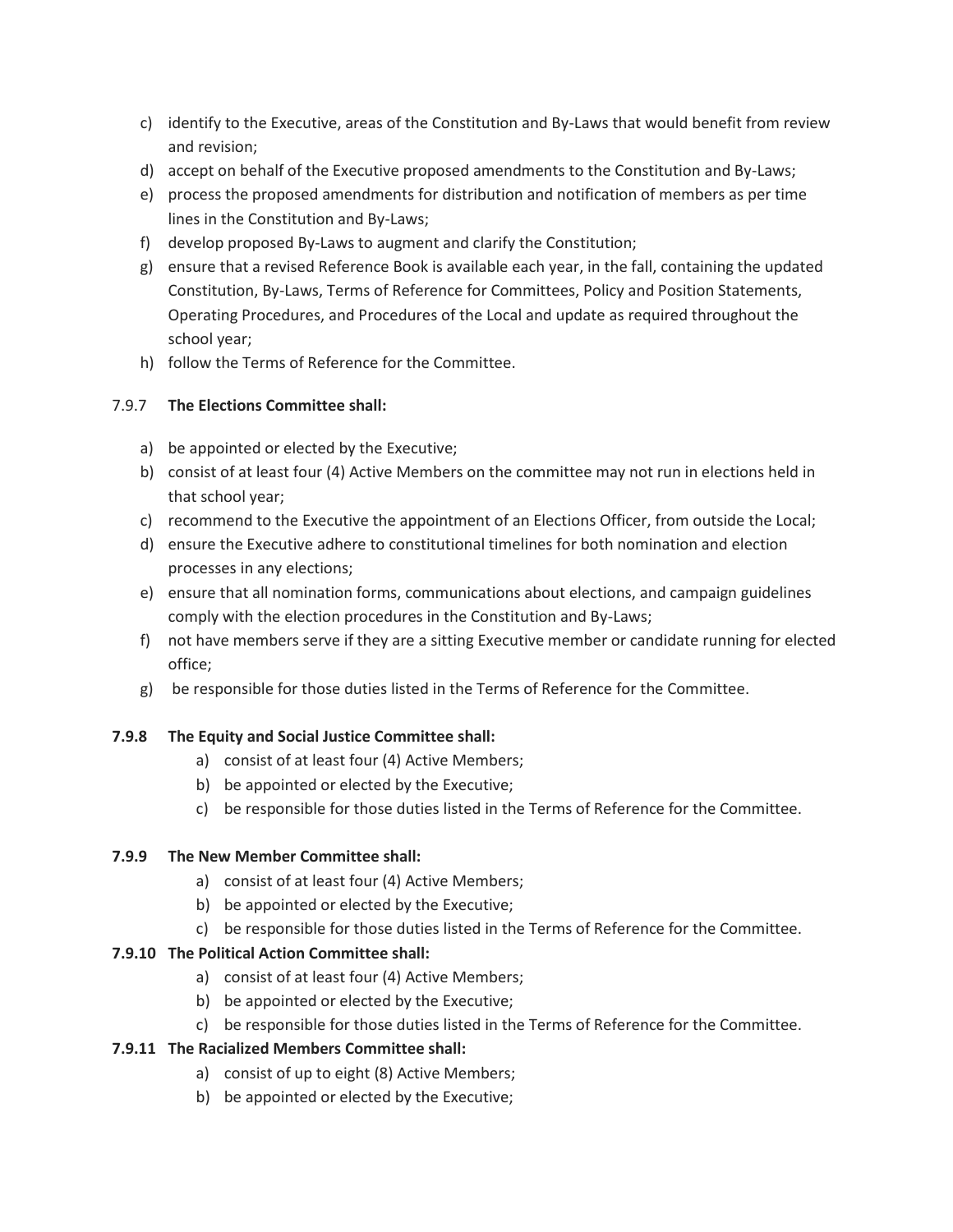- c) identify to the Executive, areas of the Constitution and By-Laws that would benefit from review and revision;
- d) accept on behalf of the Executive proposed amendments to the Constitution and By-Laws;
- e) process the proposed amendments for distribution and notification of members as per time lines in the Constitution and By-Laws;
- f) develop proposed By-Laws to augment and clarify the Constitution;
- g) ensure that a revised Reference Book is available each year, in the fall, containing the updated Constitution, By-Laws, Terms of Reference for Committees, Policy and Position Statements, Operating Procedures, and Procedures of the Local and update as required throughout the school year;
- h) follow the Terms of Reference for the Committee.

#### 7.9.7 **The Elections Committee shall:**

- a) be appointed or elected by the Executive;
- b) consist of at least four (4) Active Members on the committee may not run in elections held in that school year;
- c) recommend to the Executive the appointment of an Elections Officer, from outside the Local;
- d) ensure the Executive adhere to constitutional timelines for both nomination and election processes in any elections;
- e) ensure that all nomination forms, communications about elections, and campaign guidelines comply with the election procedures in the Constitution and By-Laws;
- f) not have members serve if they are a sitting Executive member or candidate running for elected office;
- g) be responsible for those duties listed in the Terms of Reference for the Committee.

#### **7.9.8 The Equity and Social Justice Committee shall:**

- a) consist of at least four (4) Active Members;
- b) be appointed or elected by the Executive;
- c) be responsible for those duties listed in the Terms of Reference for the Committee.

#### **7.9.9 The New Member Committee shall:**

- a) consist of at least four (4) Active Members;
- b) be appointed or elected by the Executive;
- c) be responsible for those duties listed in the Terms of Reference for the Committee.

#### **7.9.10 The Political Action Committee shall:**

- a) consist of at least four (4) Active Members;
- b) be appointed or elected by the Executive;
- c) be responsible for those duties listed in the Terms of Reference for the Committee.

#### **7.9.11 The Racialized Members Committee shall:**

- a) consist of up to eight (8) Active Members;
- b) be appointed or elected by the Executive;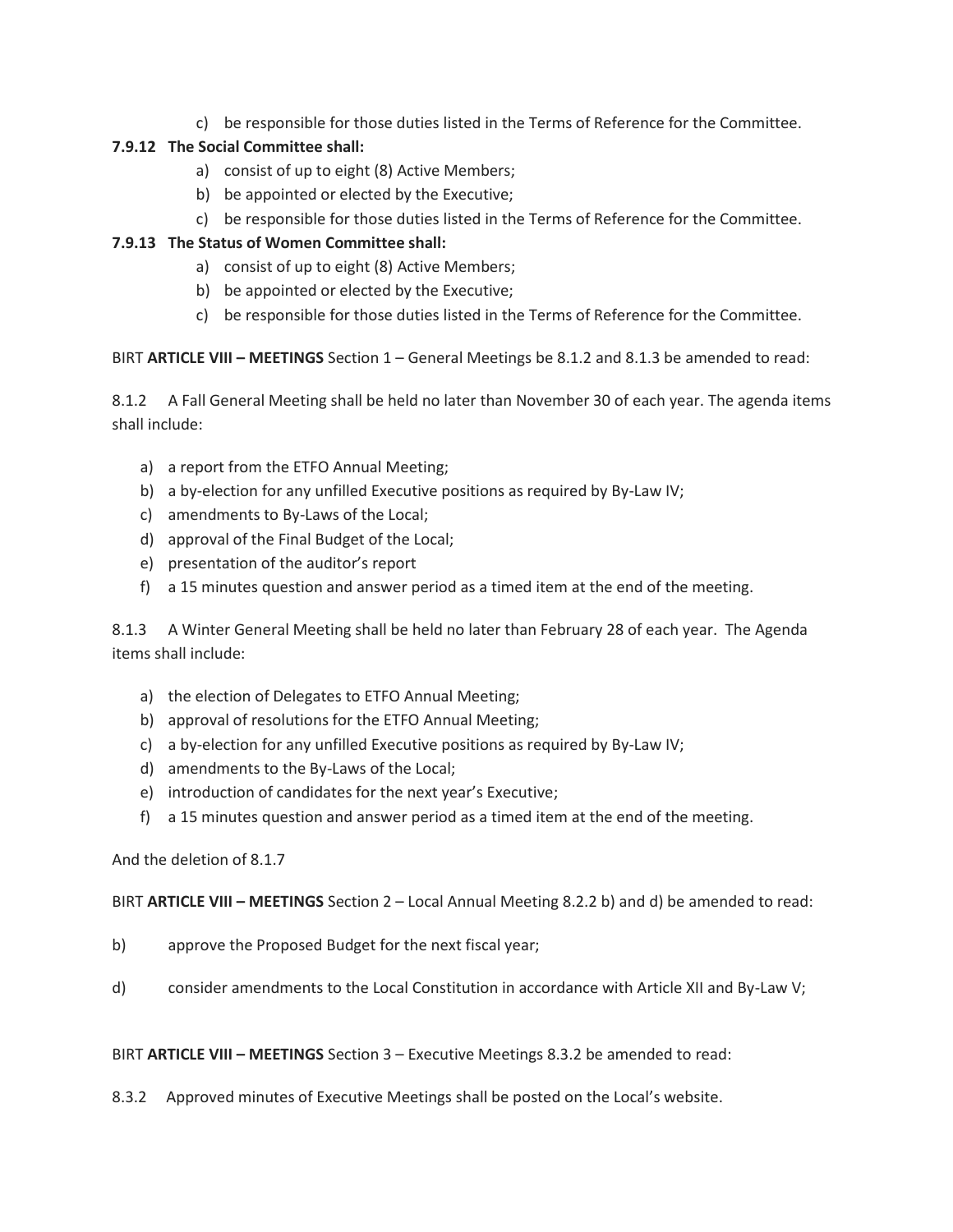c) be responsible for those duties listed in the Terms of Reference for the Committee.

#### **7.9.12 The Social Committee shall:**

- a) consist of up to eight (8) Active Members;
- b) be appointed or elected by the Executive;
- c) be responsible for those duties listed in the Terms of Reference for the Committee.

#### **7.9.13 The Status of Women Committee shall:**

- a) consist of up to eight (8) Active Members;
- b) be appointed or elected by the Executive;
- c) be responsible for those duties listed in the Terms of Reference for the Committee.

BIRT **ARTICLE VIII – MEETINGS** Section 1 – General Meetings be 8.1.2 and 8.1.3 be amended to read:

8.1.2 A Fall General Meeting shall be held no later than November 30 of each year. The agenda items shall include:

- a) a report from the ETFO Annual Meeting;
- b) a by-election for any unfilled Executive positions as required by By-Law IV;
- c) amendments to By-Laws of the Local;
- d) approval of the Final Budget of the Local;
- e) presentation of the auditor's report
- f) a 15 minutes question and answer period as a timed item at the end of the meeting.

8.1.3 A Winter General Meeting shall be held no later than February 28 of each year. The Agenda items shall include:

- a) the election of Delegates to ETFO Annual Meeting;
- b) approval of resolutions for the ETFO Annual Meeting;
- c) a by-election for any unfilled Executive positions as required by By-Law IV;
- d) amendments to the By-Laws of the Local;
- e) introduction of candidates for the next year's Executive;
- f) a 15 minutes question and answer period as a timed item at the end of the meeting.

#### And the deletion of 8.1.7

BIRT **ARTICLE VIII – MEETINGS** Section 2 – Local Annual Meeting 8.2.2 b) and d) be amended to read:

- b) approve the Proposed Budget for the next fiscal year;
- d) consider amendments to the Local Constitution in accordance with Article XII and By-Law V;

BIRT **ARTICLE VIII – MEETINGS** Section 3 – Executive Meetings 8.3.2 be amended to read:

8.3.2 Approved minutes of Executive Meetings shall be posted on the Local's website.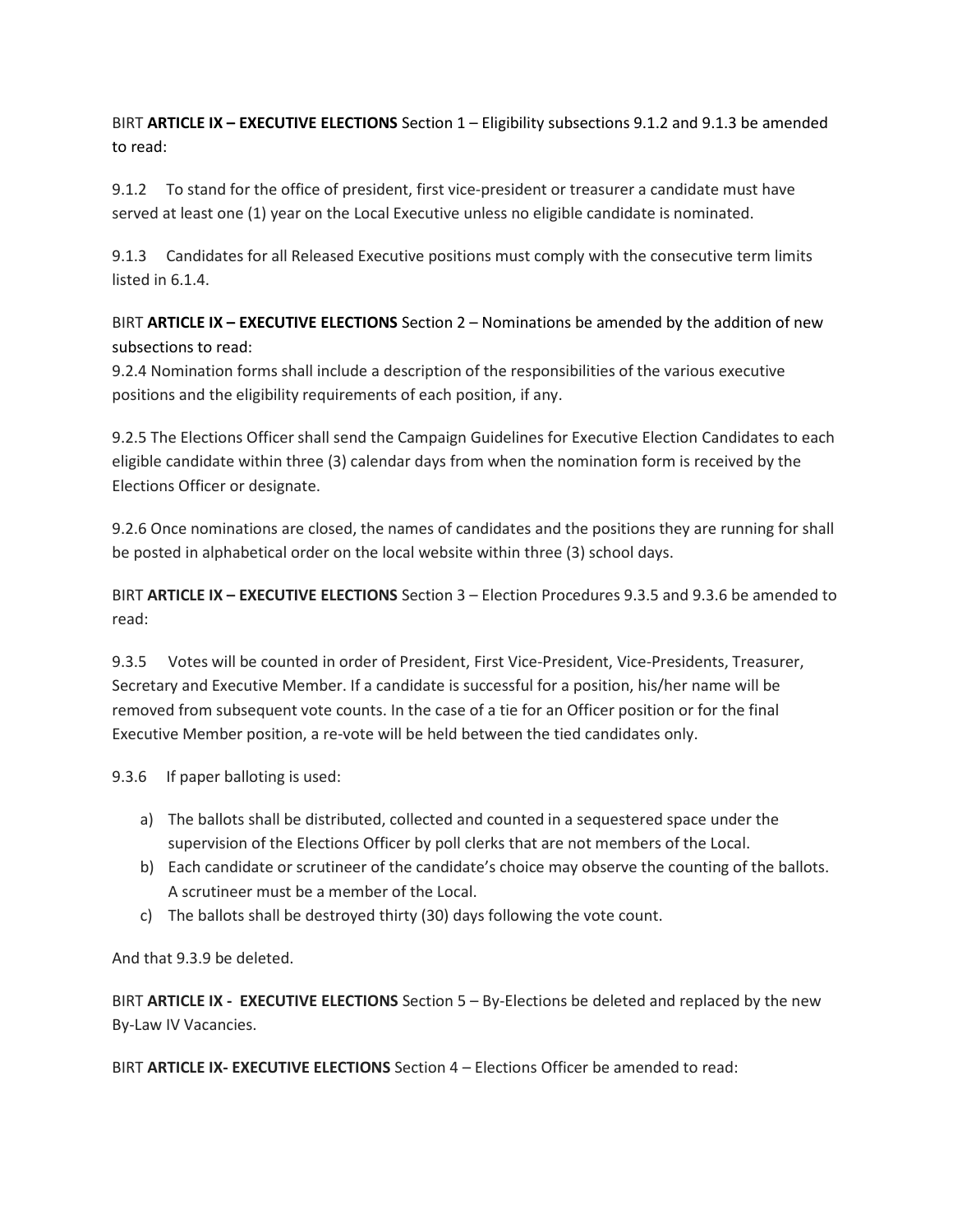BIRT **ARTICLE IX – EXECUTIVE ELECTIONS** Section 1 – Eligibility subsections 9.1.2 and 9.1.3 be amended to read:

9.1.2 To stand for the office of president, first vice-president or treasurer a candidate must have served at least one (1) year on the Local Executive unless no eligible candidate is nominated.

9.1.3 Candidates for all Released Executive positions must comply with the consecutive term limits listed in 6.1.4.

BIRT **ARTICLE IX – EXECUTIVE ELECTIONS** Section 2 – Nominations be amended by the addition of new subsections to read:

9.2.4 Nomination forms shall include a description of the responsibilities of the various executive positions and the eligibility requirements of each position, if any.

9.2.5 The Elections Officer shall send the Campaign Guidelines for Executive Election Candidates to each eligible candidate within three (3) calendar days from when the nomination form is received by the Elections Officer or designate.

9.2.6 Once nominations are closed, the names of candidates and the positions they are running for shall be posted in alphabetical order on the local website within three (3) school days.

BIRT **ARTICLE IX – EXECUTIVE ELECTIONS** Section 3 – Election Procedures 9.3.5 and 9.3.6 be amended to read:

9.3.5 Votes will be counted in order of President, First Vice-President, Vice-Presidents, Treasurer, Secretary and Executive Member. If a candidate is successful for a position, his/her name will be removed from subsequent vote counts. In the case of a tie for an Officer position or for the final Executive Member position, a re-vote will be held between the tied candidates only.

9.3.6 If paper balloting is used:

- a) The ballots shall be distributed, collected and counted in a sequestered space under the supervision of the Elections Officer by poll clerks that are not members of the Local.
- b) Each candidate or scrutineer of the candidate's choice may observe the counting of the ballots. A scrutineer must be a member of the Local.
- c) The ballots shall be destroyed thirty (30) days following the vote count.

And that 9.3.9 be deleted.

BIRT **ARTICLE IX - EXECUTIVE ELECTIONS** Section 5 – By-Elections be deleted and replaced by the new By-Law IV Vacancies.

BIRT **ARTICLE IX- EXECUTIVE ELECTIONS** Section 4 – Elections Officer be amended to read: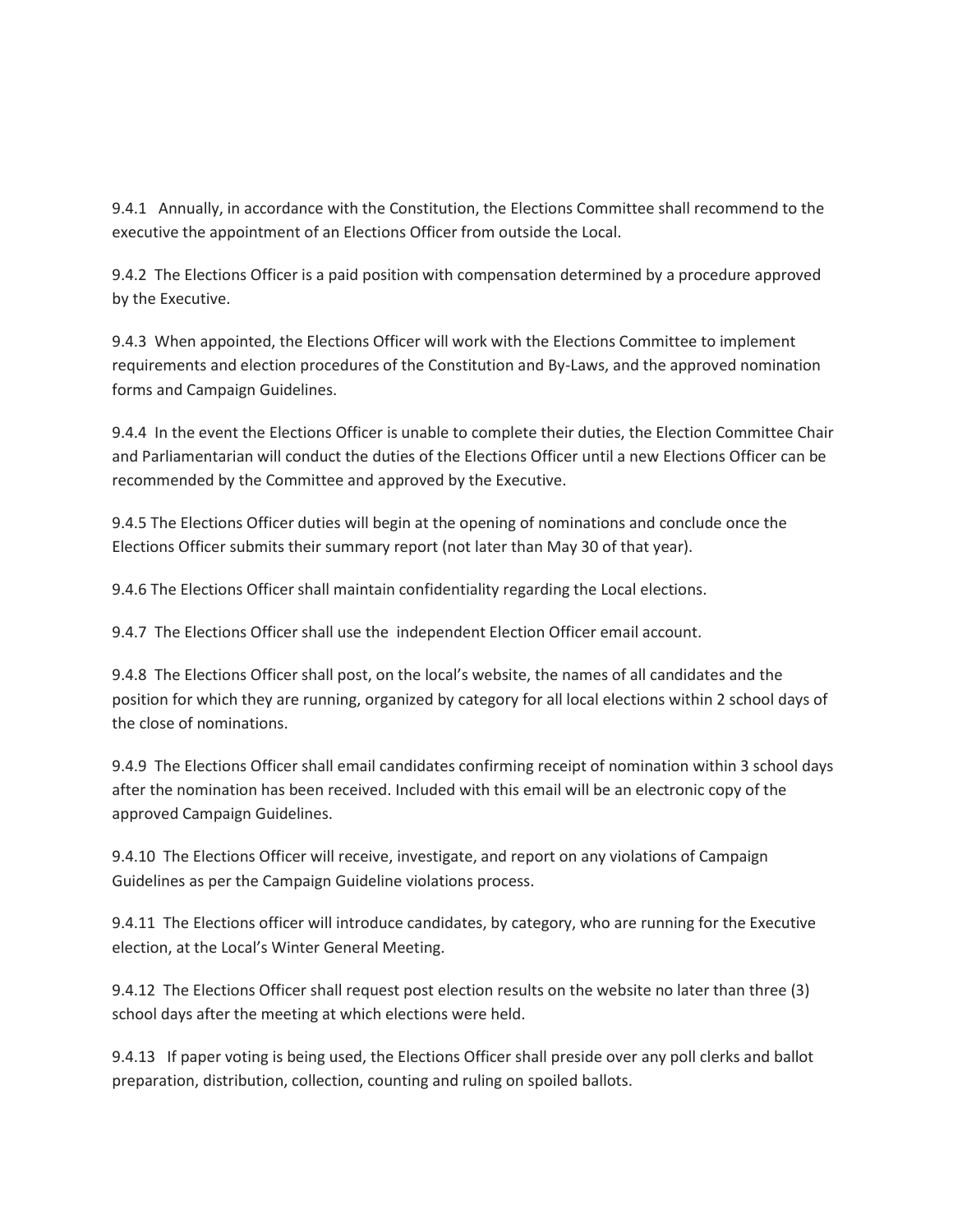9.4.1 Annually, in accordance with the Constitution, the Elections Committee shall recommend to the executive the appointment of an Elections Officer from outside the Local.

9.4.2 The Elections Officer is a paid position with compensation determined by a procedure approved by the Executive.

9.4.3 When appointed, the Elections Officer will work with the Elections Committee to implement requirements and election procedures of the Constitution and By-Laws, and the approved nomination forms and Campaign Guidelines.

9.4.4 In the event the Elections Officer is unable to complete their duties, the Election Committee Chair and Parliamentarian will conduct the duties of the Elections Officer until a new Elections Officer can be recommended by the Committee and approved by the Executive.

9.4.5 The Elections Officer duties will begin at the opening of nominations and conclude once the Elections Officer submits their summary report (not later than May 30 of that year).

9.4.6 The Elections Officer shall maintain confidentiality regarding the Local elections.

9.4.7 The Elections Officer shall use the independent Election Officer email account.

9.4.8 The Elections Officer shall post, on the local's website, the names of all candidates and the position for which they are running, organized by category for all local elections within 2 school days of the close of nominations.

9.4.9 The Elections Officer shall email candidates confirming receipt of nomination within 3 school days after the nomination has been received. Included with this email will be an electronic copy of the approved Campaign Guidelines.

9.4.10 The Elections Officer will receive, investigate, and report on any violations of Campaign Guidelines as per the Campaign Guideline violations process.

9.4.11 The Elections officer will introduce candidates, by category, who are running for the Executive election, at the Local's Winter General Meeting.

9.4.12 The Elections Officer shall request post election results on the website no later than three (3) school days after the meeting at which elections were held.

9.4.13 If paper voting is being used, the Elections Officer shall preside over any poll clerks and ballot preparation, distribution, collection, counting and ruling on spoiled ballots.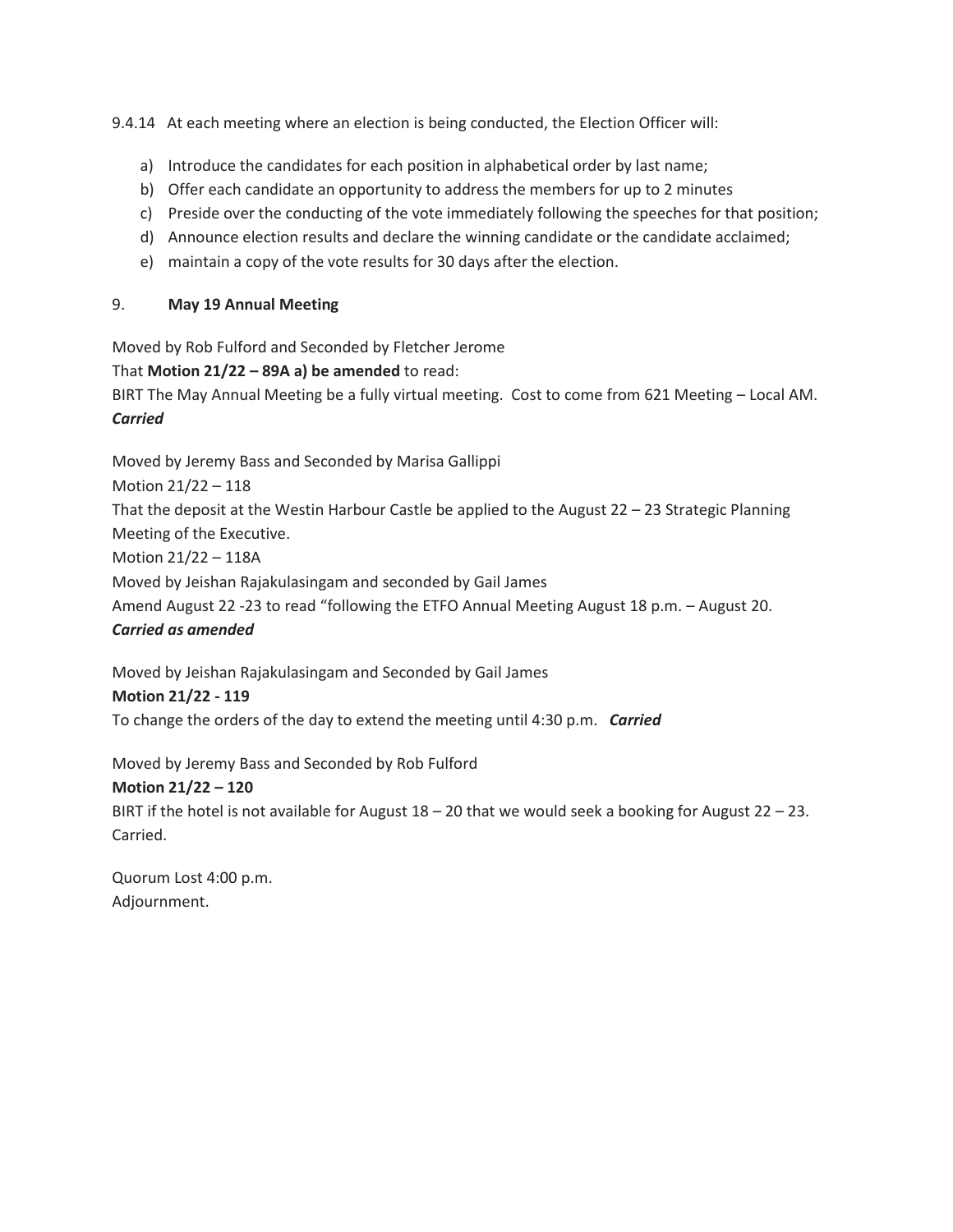9.4.14 At each meeting where an election is being conducted, the Election Officer will:

- a) Introduce the candidates for each position in alphabetical order by last name;
- b) Offer each candidate an opportunity to address the members for up to 2 minutes
- c) Preside over the conducting of the vote immediately following the speeches for that position;
- d) Announce election results and declare the winning candidate or the candidate acclaimed;
- e) maintain a copy of the vote results for 30 days after the election.

#### 9. **May 19 Annual Meeting**

Moved by Rob Fulford and Seconded by Fletcher Jerome

#### That **Motion 21/22 – 89A a) be amended** to read:

BIRT The May Annual Meeting be a fully virtual meeting. Cost to come from 621 Meeting – Local AM. *Carried*

Moved by Jeremy Bass and Seconded by Marisa Gallippi

Motion 21/22 – 118

That the deposit at the Westin Harbour Castle be applied to the August 22 – 23 Strategic Planning Meeting of the Executive.

Motion 21/22 – 118A

Moved by Jeishan Rajakulasingam and seconded by Gail James

Amend August 22 -23 to read "following the ETFO Annual Meeting August 18 p.m. – August 20.

*Carried as amended*

Moved by Jeishan Rajakulasingam and Seconded by Gail James

#### **Motion 21/22 - 119**

To change the orders of the day to extend the meeting until 4:30 p.m. *Carried*

Moved by Jeremy Bass and Seconded by Rob Fulford

#### **Motion 21/22 – 120**

BIRT if the hotel is not available for August 18 – 20 that we would seek a booking for August 22 – 23. Carried.

Quorum Lost 4:00 p.m. Adjournment.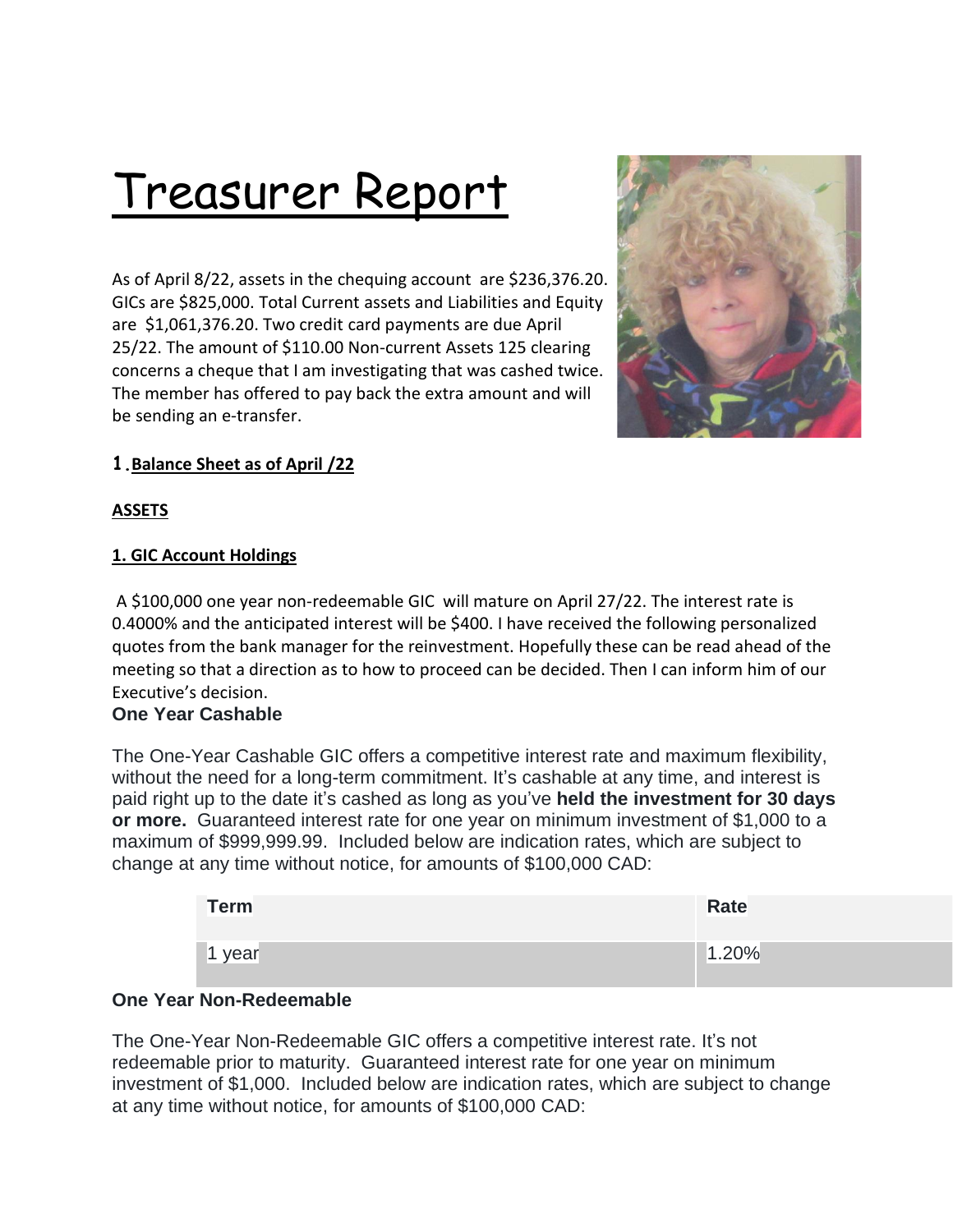# Treasurer Report

As of April 8/22, assets in the chequing account are \$236,376.20. GICs are \$825,000. Total Current assets and Liabilities and Equity are \$1,061,376.20. Two credit card payments are due April 25/22. The amount of \$110.00 Non-current Assets 125 clearing concerns a cheque that I am investigating that was cashed twice. The member has offered to pay back the extra amount and will be sending an e-transfer.



# **1.Balance Sheet as of April /22**

## **ASSETS**

#### **1. GIC Account Holdings**

A \$100,000 one year non-redeemable GIC will mature on April 27/22. The interest rate is 0.4000% and the anticipated interest will be \$400. I have received the following personalized quotes from the bank manager for the reinvestment. Hopefully these can be read ahead of the meeting so that a direction as to how to proceed can be decided. Then I can inform him of our Executive's decision.

# **One Year Cashable**

The One-Year Cashable GIC offers a competitive interest rate and maximum flexibility, without the need for a long-term commitment. It's cashable at any time, and interest is paid right up to the date it's cashed as long as you've **held the investment for 30 days or more.** Guaranteed interest rate for one year on minimum investment of \$1,000 to a maximum of \$999,999.99. Included below are indication rates, which are subject to change at any time without notice, for amounts of \$100,000 CAD:

| <b>Term</b> | <b>Rate</b> |
|-------------|-------------|
| 1 year      | 1.20%       |

## **One Year Non-Redeemable**

The One-Year Non-Redeemable GIC offers a competitive interest rate. It's not redeemable prior to maturity. Guaranteed interest rate for one year on minimum investment of \$1,000. Included below are indication rates, which are subject to change at any time without notice, for amounts of \$100,000 CAD: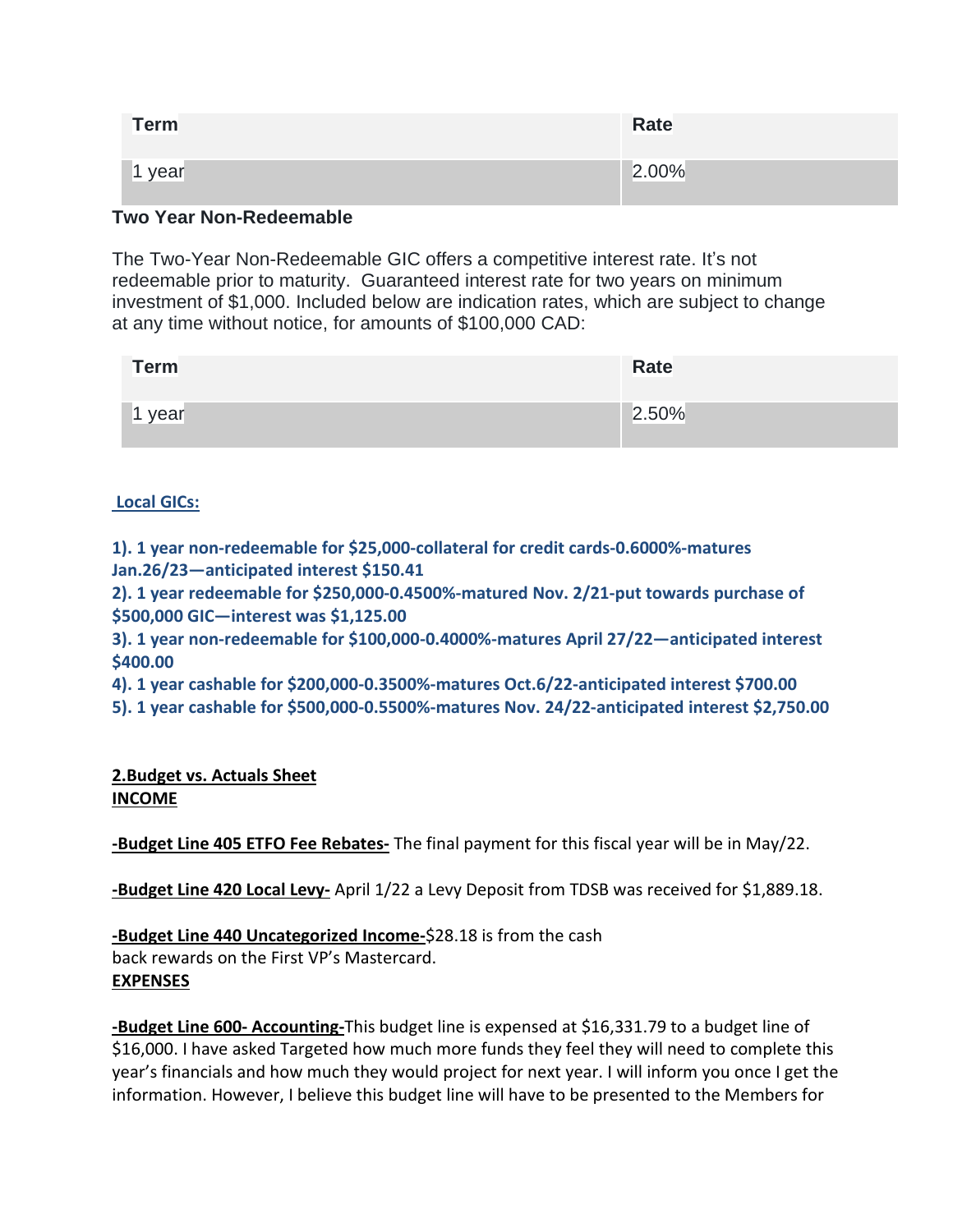| Term   | <b>Rate</b> |
|--------|-------------|
| 1 year | 2.00%       |

# **Two Year Non-Redeemable**

The Two-Year Non-Redeemable GIC offers a competitive interest rate. It's not redeemable prior to maturity. Guaranteed interest rate for two years on minimum investment of \$1,000. Included below are indication rates, which are subject to change at any time without notice, for amounts of \$100,000 CAD:

| <b>Term</b> | Rate  |
|-------------|-------|
| year        | 2.50% |

## **Local GICs:**

**1). 1 year non-redeemable for \$25,000-collateral for credit cards-0.6000%-matures Jan.26/23—anticipated interest \$150.41**

**2). 1 year redeemable for \$250,000-0.4500%-matured Nov. 2/21-put towards purchase of \$500,000 GIC—interest was \$1,125.00**

**3). 1 year non-redeemable for \$100,000-0.4000%-matures April 27/22—anticipated interest \$400.00**

**4). 1 year cashable for \$200,000-0.3500%-matures Oct.6/22-anticipated interest \$700.00**

**5). 1 year cashable for \$500,000-0.5500%-matures Nov. 24/22-anticipated interest \$2,750.00**

**2.Budget vs. Actuals Sheet INCOME**

**-Budget Line 405 ETFO Fee Rebates-** The final payment for this fiscal year will be in May/22.

**-Budget Line 420 Local Levy-** April 1/22 a Levy Deposit from TDSB was received for \$1,889.18.

**-Budget Line 440 Uncategorized Income-**\$28.18 is from the cash back rewards on the First VP's Mastercard. **EXPENSES**

**-Budget Line 600- Accounting-**This budget line is expensed at \$16,331.79 to a budget line of \$16,000. I have asked Targeted how much more funds they feel they will need to complete this year's financials and how much they would project for next year. I will inform you once I get the information. However, I believe this budget line will have to be presented to the Members for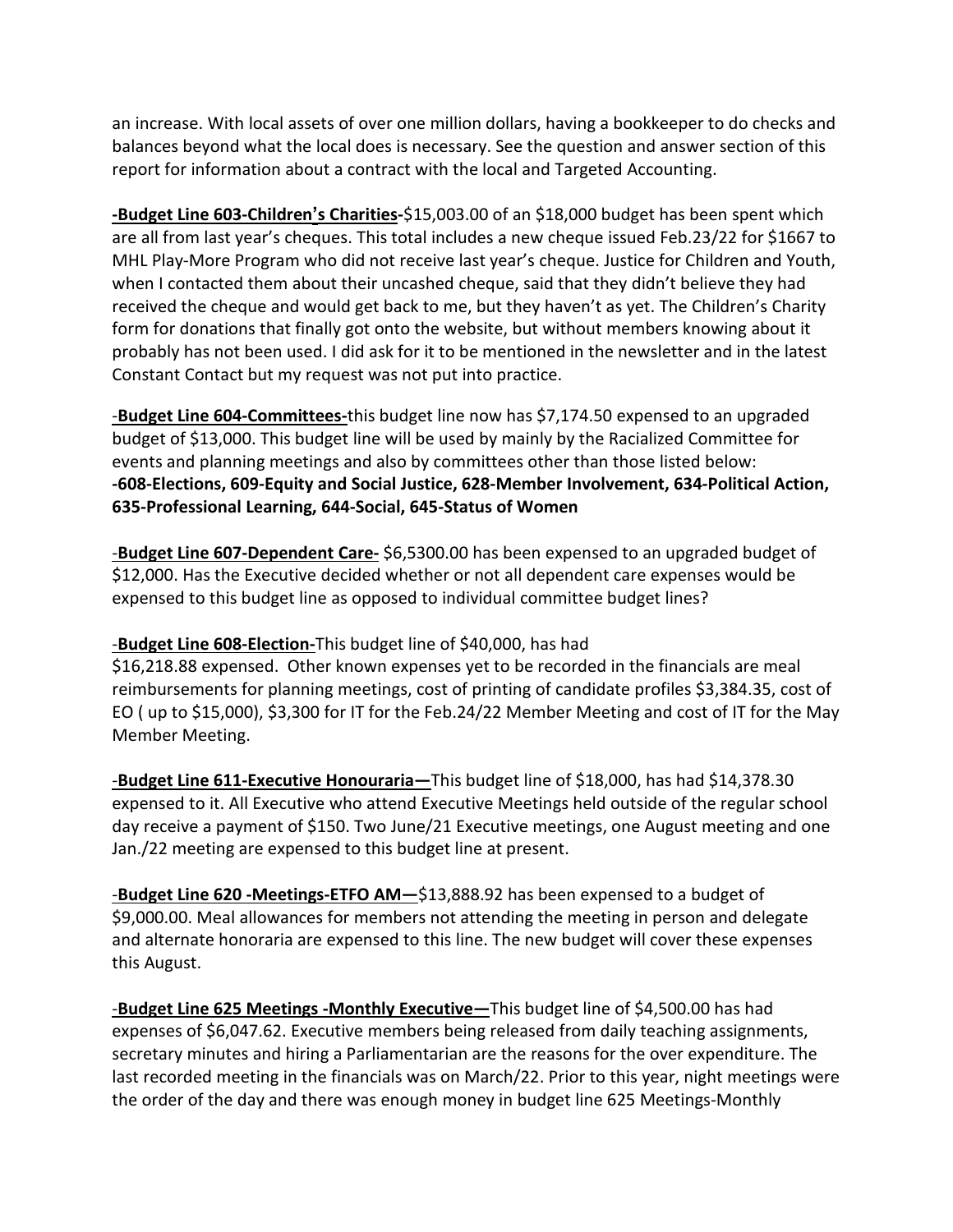an increase. With local assets of over one million dollars, having a bookkeeper to do checks and balances beyond what the local does is necessary. See the question and answer section of this report for information about a contract with the local and Targeted Accounting.

**-Budget Line 603-Children's Charities-**\$15,003.00 of an \$18,000 budget has been spent which are all from last year's cheques. This total includes a new cheque issued Feb.23/22 for \$1667 to MHL Play-More Program who did not receive last year's cheque. Justice for Children and Youth, when I contacted them about their uncashed cheque, said that they didn't believe they had received the cheque and would get back to me, but they haven't as yet. The Children's Charity form for donations that finally got onto the website, but without members knowing about it probably has not been used. I did ask for it to be mentioned in the newsletter and in the latest Constant Contact but my request was not put into practice.

-**Budget Line 604-Committees-**this budget line now has \$7,174.50 expensed to an upgraded budget of \$13,000. This budget line will be used by mainly by the Racialized Committee for events and planning meetings and also by committees other than those listed below: **-608-Elections, 609-Equity and Social Justice, 628-Member Involvement, 634-Political Action, 635-Professional Learning, 644-Social, 645-Status of Women**

-**Budget Line 607-Dependent Care-** \$6,5300.00 has been expensed to an upgraded budget of \$12,000. Has the Executive decided whether or not all dependent care expenses would be expensed to this budget line as opposed to individual committee budget lines?

## -**Budget Line 608-Election-**This budget line of \$40,000, has had

\$16,218.88 expensed. Other known expenses yet to be recorded in the financials are meal reimbursements for planning meetings, cost of printing of candidate profiles \$3,384.35, cost of EO ( up to \$15,000), \$3,300 for IT for the Feb.24/22 Member Meeting and cost of IT for the May Member Meeting.

-**Budget Line 611-Executive Honouraria—**This budget line of \$18,000, has had \$14,378.30 expensed to it. All Executive who attend Executive Meetings held outside of the regular school day receive a payment of \$150. Two June/21 Executive meetings, one August meeting and one Jan./22 meeting are expensed to this budget line at present.

-**Budget Line 620 -Meetings-ETFO AM—**\$13,888.92 has been expensed to a budget of \$9,000.00. Meal allowances for members not attending the meeting in person and delegate and alternate honoraria are expensed to this line. The new budget will cover these expenses this August.

-**Budget Line 625 Meetings -Monthly Executive—**This budget line of \$4,500.00 has had expenses of \$6,047.62. Executive members being released from daily teaching assignments, secretary minutes and hiring a Parliamentarian are the reasons for the over expenditure. The last recorded meeting in the financials was on March/22. Prior to this year, night meetings were the order of the day and there was enough money in budget line 625 Meetings-Monthly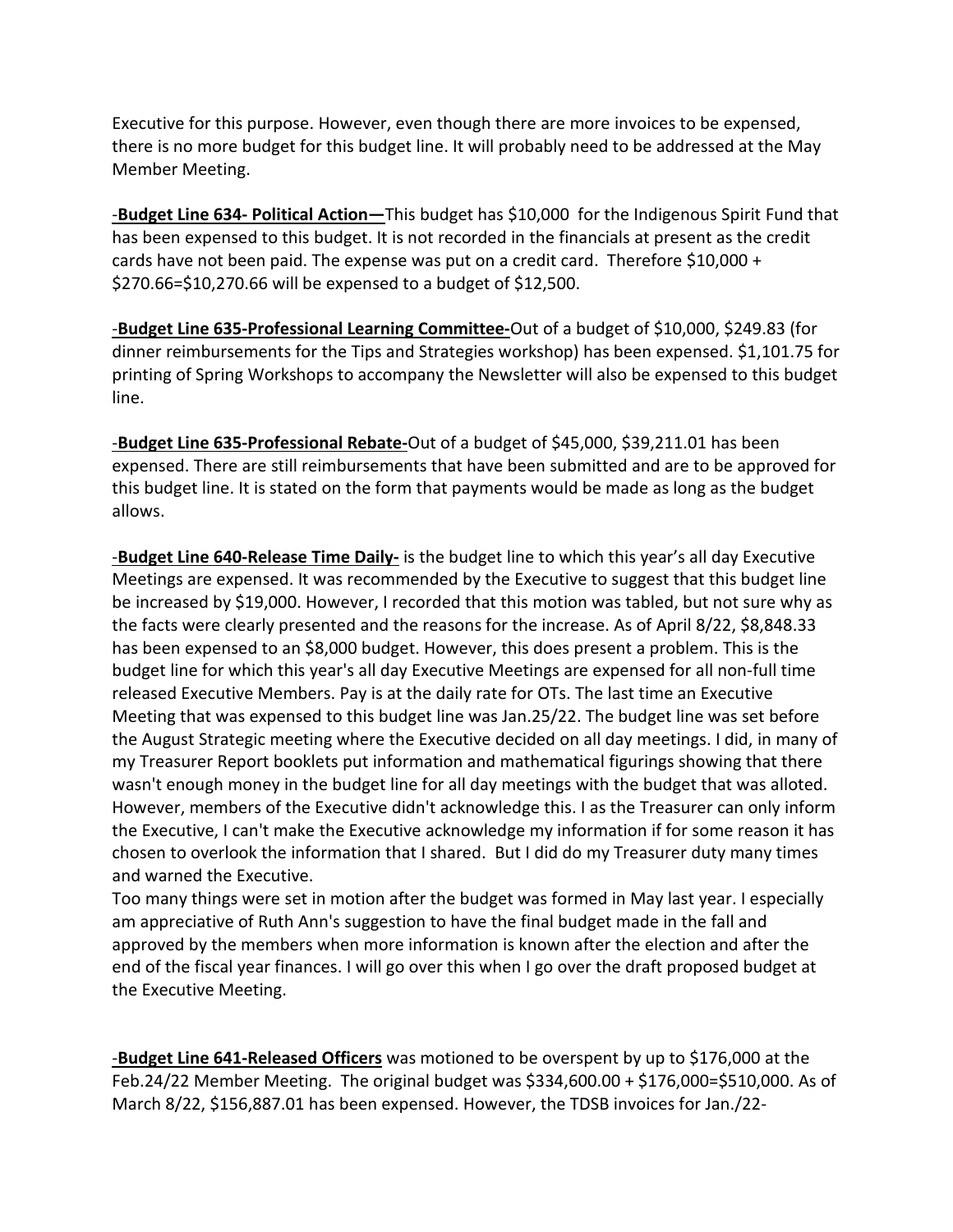Executive for this purpose. However, even though there are more invoices to be expensed, there is no more budget for this budget line. It will probably need to be addressed at the May Member Meeting.

-**Budget Line 634- Political Action—**This budget has \$10,000 for the Indigenous Spirit Fund that has been expensed to this budget. It is not recorded in the financials at present as the credit cards have not been paid. The expense was put on a credit card. Therefore \$10,000 + \$270.66=\$10,270.66 will be expensed to a budget of \$12,500.

-**Budget Line 635-Professional Learning Committee-**Out of a budget of \$10,000, \$249.83 (for dinner reimbursements for the Tips and Strategies workshop) has been expensed. \$1,101.75 for printing of Spring Workshops to accompany the Newsletter will also be expensed to this budget line.

-**Budget Line 635-Professional Rebate-**Out of a budget of \$45,000, \$39,211.01 has been expensed. There are still reimbursements that have been submitted and are to be approved for this budget line. It is stated on the form that payments would be made as long as the budget allows.

-**Budget Line 640-Release Time Daily-** is the budget line to which this year's all day Executive Meetings are expensed. It was recommended by the Executive to suggest that this budget line be increased by \$19,000. However, I recorded that this motion was tabled, but not sure why as the facts were clearly presented and the reasons for the increase. As of April 8/22, \$8,848.33 has been expensed to an \$8,000 budget. However, this does present a problem. This is the budget line for which this year's all day Executive Meetings are expensed for all non-full time released Executive Members. Pay is at the daily rate for OTs. The last time an Executive Meeting that was expensed to this budget line was Jan.25/22. The budget line was set before the August Strategic meeting where the Executive decided on all day meetings. I did, in many of my Treasurer Report booklets put information and mathematical figurings showing that there wasn't enough money in the budget line for all day meetings with the budget that was alloted. However, members of the Executive didn't acknowledge this. I as the Treasurer can only inform the Executive, I can't make the Executive acknowledge my information if for some reason it has chosen to overlook the information that I shared. But I did do my Treasurer duty many times and warned the Executive.

Too many things were set in motion after the budget was formed in May last year. I especially am appreciative of Ruth Ann's suggestion to have the final budget made in the fall and approved by the members when more information is known after the election and after the end of the fiscal year finances. I will go over this when I go over the draft proposed budget at the Executive Meeting.

-**Budget Line 641-Released Officers** was motioned to be overspent by up to \$176,000 at the Feb.24/22 Member Meeting. The original budget was \$334,600.00 + \$176,000=\$510,000. As of March 8/22, \$156,887.01 has been expensed. However, the TDSB invoices for Jan./22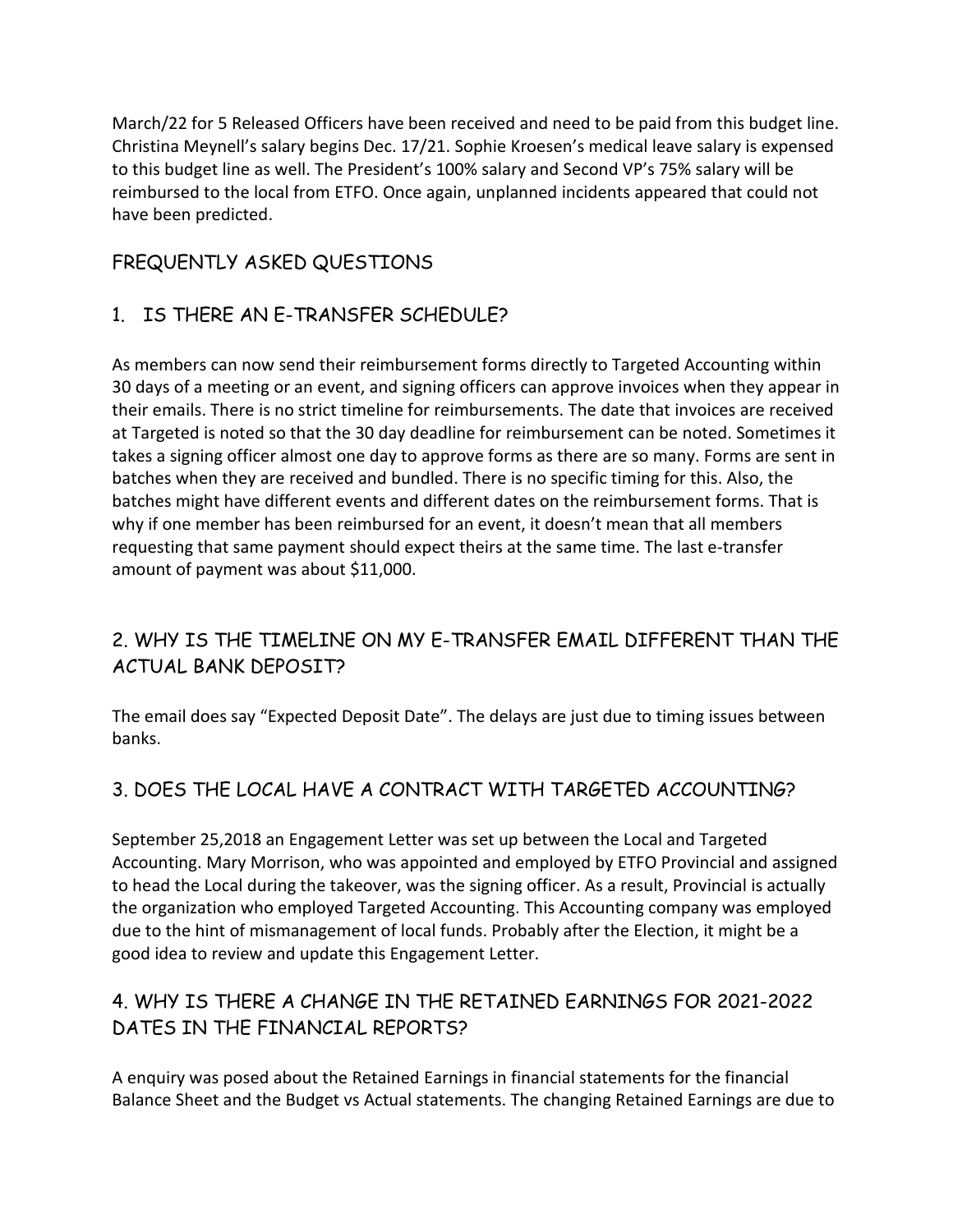March/22 for 5 Released Officers have been received and need to be paid from this budget line. Christina Meynell's salary begins Dec. 17/21. Sophie Kroesen's medical leave salary is expensed to this budget line as well. The President's 100% salary and Second VP's 75% salary will be reimbursed to the local from ETFO. Once again, unplanned incidents appeared that could not have been predicted.

# FREQUENTLY ASKED QUESTIONS

# 1. IS THERE AN E-TRANSFER SCHEDULE?

As members can now send their reimbursement forms directly to Targeted Accounting within 30 days of a meeting or an event, and signing officers can approve invoices when they appear in their emails. There is no strict timeline for reimbursements. The date that invoices are received at Targeted is noted so that the 30 day deadline for reimbursement can be noted. Sometimes it takes a signing officer almost one day to approve forms as there are so many. Forms are sent in batches when they are received and bundled. There is no specific timing for this. Also, the batches might have different events and different dates on the reimbursement forms. That is why if one member has been reimbursed for an event, it doesn't mean that all members requesting that same payment should expect theirs at the same time. The last e-transfer amount of payment was about \$11,000.

# 2. WHY IS THE TIMELINE ON MY E-TRANSFER EMAIL DIFFERENT THAN THE ACTUAL BANK DEPOSIT?

The email does say "Expected Deposit Date". The delays are just due to timing issues between banks.

# 3. DOES THE LOCAL HAVE A CONTRACT WITH TARGETED ACCOUNTING?

September 25,2018 an Engagement Letter was set up between the Local and Targeted Accounting. Mary Morrison, who was appointed and employed by ETFO Provincial and assigned to head the Local during the takeover, was the signing officer. As a result, Provincial is actually the organization who employed Targeted Accounting. This Accounting company was employed due to the hint of mismanagement of local funds. Probably after the Election, it might be a good idea to review and update this Engagement Letter.

# 4. WHY IS THERE A CHANGE IN THE RETAINED EARNINGS FOR 2021-2022 DATES IN THE FINANCIAL REPORTS?

A enquiry was posed about the Retained Earnings in financial statements for the financial Balance Sheet and the Budget vs Actual statements. The changing Retained Earnings are due to